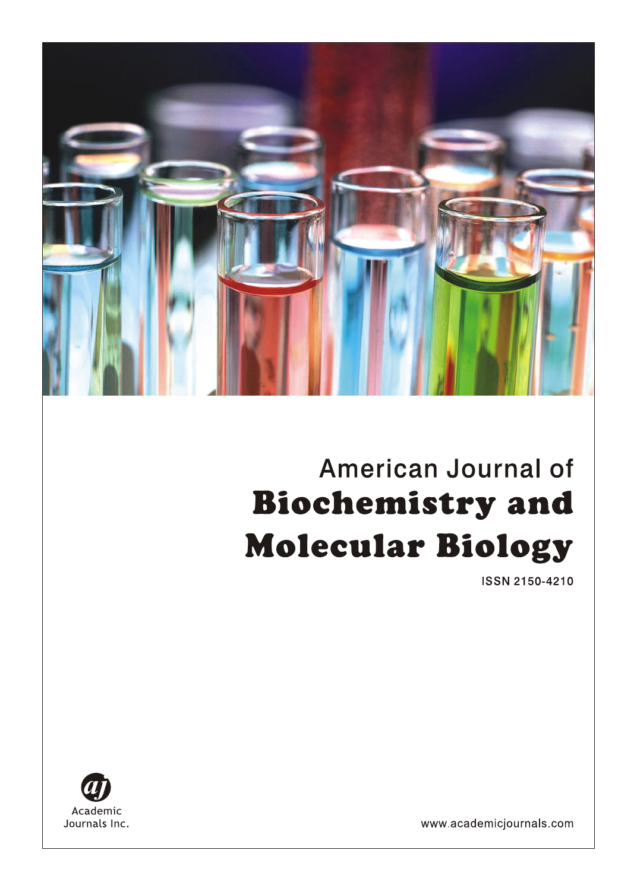# American Journal of **Biochemistry and Molecular Biology**

**ISSN 2150-4210** 



www.academicjournals.com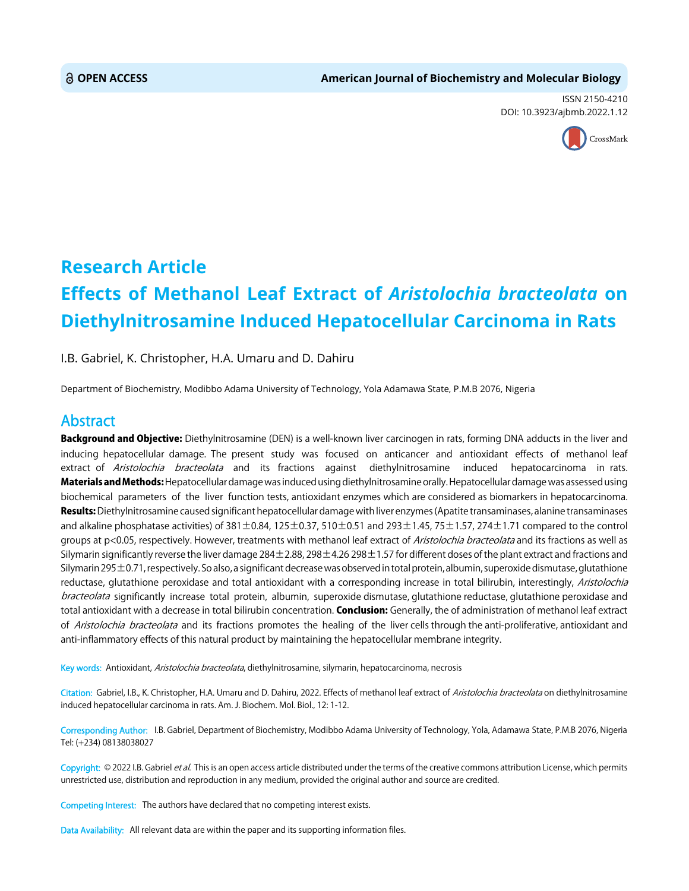ISSN 2150-4210 DOI: 10.3923/ajbmb.2022.1.12



## **Research Article Effects of Methanol Leaf Extract of** *Aristolochia bracteolata* **on Diethylnitrosamine Induced Hepatocellular Carcinoma in Rats**

I.B. Gabriel, K. Christopher, H.A. Umaru and D. Dahiru

Department of Biochemistry, Modibbo Adama University of Technology, Yola Adamawa State, P.M.B 2076, Nigeria

### Abstract

Background and Objective: Diethylnitrosamine (DEN) is a well-known liver carcinogen in rats, forming DNA adducts in the liver and inducing hepatocellular damage. The present study was focused on anticancer and antioxidant effects of methanol leaf extract of Aristolochia bracteolata and its fractions against diethylnitrosamine induced hepatocarcinoma in rats. Materials and Methods: Hepatocellular damage was induced using diethylnitrosamine orally. Hepatocellular damage was assessed using biochemical parameters of the liver function tests, antioxidant enzymes which are considered as biomarkers in hepatocarcinoma. Results: Diethylnitrosamine caused significant hepatocellular damage with liver enzymes (Apatite transaminases, alanine transaminases and alkaline phosphatase activities) of  $381 \pm 0.84$ ,  $125 \pm 0.37$ ,  $510 \pm 0.51$  and  $293 \pm 1.45$ ,  $75 \pm 1.57$ ,  $274 \pm 1.71$  compared to the control groups at p<0.05, respectively. However, treatments with methanol leaf extract of *Aristolochia bracteolata* and its fractions as well as Silymarin significantly reverse the liver damage 284±2.88, 298±4.26 298±1.57 for different doses of the plant extract and fractions and Silymarin 295±0.71, respectively. So also, a significant decrease was observed in total protein, albumin, superoxide dismutase, glutathione reductase, glutathione peroxidase and total antioxidant with a corresponding increase in total bilirubin, interestingly, Aristolochia bracteolata significantly increase total protein, albumin, superoxide dismutase, glutathione reductase, glutathione peroxidase and total antioxidant with a decrease in total bilirubin concentration. Conclusion: Generally, the of administration of methanol leaf extract of Aristolochia bracteolata and its fractions promotes the healing of the liver cells through the anti-proliferative, antioxidant and anti-inflammatory effects of this natural product by maintaining the hepatocellular membrane integrity.

Key words: Antioxidant, Aristolochia bracteolata, diethylnitrosamine, silymarin, hepatocarcinoma, necrosis

Citation: Gabriel, I.B., K. Christopher, H.A. Umaru and D. Dahiru, 2022. Effects of methanol leaf extract of Aristolochia bracteolata on diethylnitrosamine induced hepatocellular carcinoma in rats. Am. J. Biochem. Mol. Biol., 12: 1-12.

Corresponding Author: I.B. Gabriel, Department of Biochemistry, Modibbo Adama University of Technology, Yola, Adamawa State, P.M.B 2076, Nigeria Tel: (+234) 08138038027

Copyright: © 2022 I.B. Gabriel et al. This is an open access article distributed under the terms of the creative commons attribution License, which permits unrestricted use, distribution and reproduction in any medium, provided the original author and source are credited.

Competing Interest: The authors have declared that no competing interest exists.

Data Availability: All relevant data are within the paper and its supporting information files.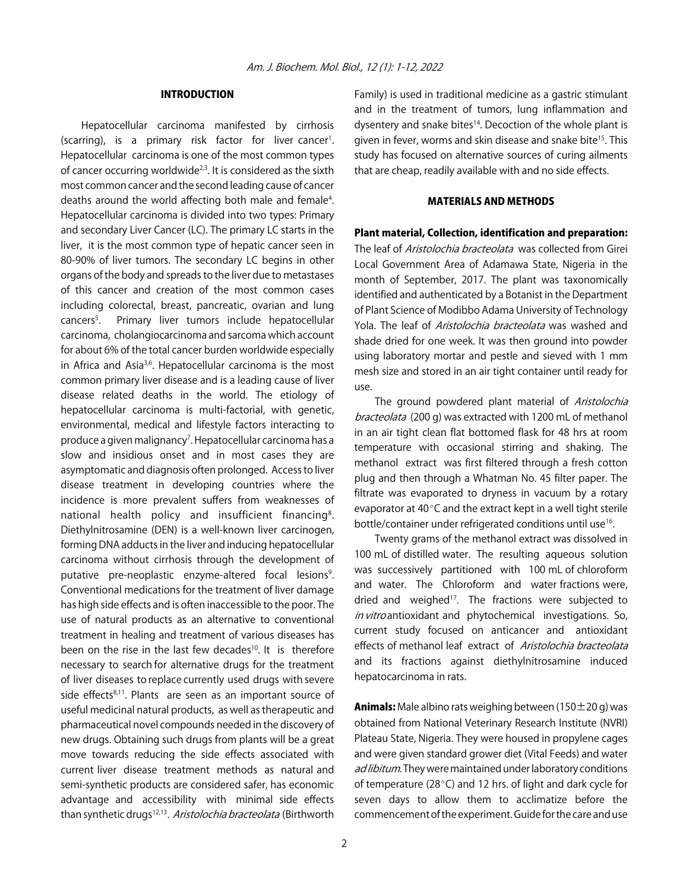#### INTRODUCTION

Hepatocellular carcinoma manifested by cirrhosis (scarring), is a primary risk factor for liver cancer<sup>1</sup>. Hepatocellular carcinoma is one of the most common types of cancer occurring worldwide<sup>2,3</sup>. It is considered as the sixth most common cancer and the second leading cause of cancer deaths around the world affecting both male and female<sup>4</sup>. Hepatocellular carcinoma is divided into two types: Primary and secondary Liver Cancer (LC). The primary LC starts in the liver, it is the most common type of hepatic cancer seen in 80-90% of liver tumors. The secondary LC begins in other organs of the body and spreads to the liver due to metastases of this cancer and creation of the most common cases including colorectal, breast, pancreatic, ovarian and lung cancers<sup>5</sup>. . Primary liver tumors include hepatocellular carcinoma, cholangiocarcinoma and sarcoma which account for about 6% of the total cancer burden worldwide especially in Africa and Asia<sup>3,6</sup>. Hepatocellular carcinoma is the most common primary liver disease and is a leading cause of liver disease related deaths in the world. The etiology of hepatocellular carcinoma is multi-factorial, with genetic, environmental, medical and lifestyle factors interacting to produce a given malignancy<sup>7</sup>. Hepatocellular carcinoma has a slow and insidious onset and in most cases they are asymptomatic and diagnosis often prolonged. Access to liver disease treatment in developing countries where the incidence is more prevalent suffers from weaknesses of national health policy and insufficient financing<sup>8</sup>. Diethylnitrosamine (DEN) is a well-known liver carcinogen, forming DNA adducts in the liver and inducing hepatocellular carcinoma without cirrhosis through the development of putative pre-neoplastic enzyme-altered focal lesions<sup>9</sup>. Conventional medications for the treatment of liver damage has high side effects and is often inaccessible to the poor. The use of natural products as an alternative to conventional treatment in healing and treatment of various diseases has been on the rise in the last few decades<sup>10</sup>. It is therefore necessary to search for alternative drugs for the treatment of liver diseases to replace currently used drugs with severe side effects $8,11$ . Plants are seen as an important source of useful medicinal natural products, as well as therapeutic and pharmaceutical novel compounds needed in the discovery of new drugs. Obtaining such drugs from plants will be a great move towards reducing the side effects associated with current liver disease treatment methods as natural and semi-synthetic products are considered safer, has economic advantage and accessibility with minimal side effects than synthetic drugs<sup>12,13</sup>. Aristolochia bracteolata (Birthworth

Family) is used in traditional medicine as a gastric stimulant and in the treatment of tumors, lung inflammation and dysentery and snake bites<sup>14</sup>. Decoction of the whole plant is given in fever, worms and skin disease and snake bite<sup>15</sup>. This study has focused on alternative sources of curing ailments that are cheap, readily available with and no side effects.

#### MATERIALS AND METHODS

#### Plant material, Collection, identification and preparation:

The leaf of *Aristolochia bracteolata* was collected from Girei Local Government Area of Adamawa State, Nigeria in the month of September, 2017. The plant was taxonomically identified and authenticated by a Botanist in the Department of Plant Science of Modibbo Adama University of Technology Yola. The leaf of Aristolochia bracteolata was washed and shade dried for one week. It was then ground into powder using laboratory mortar and pestle and sieved with 1 mm mesh size and stored in an air tight container until ready for use.

The ground powdered plant material of Aristolochia bracteolata (200 g) was extracted with 1200 mL of methanol in an air tight clean flat bottomed flask for 48 hrs at room temperature with occasional stirring and shaking. The methanol extract was first filtered through a fresh cotton plug and then through a Whatman No. 45 filter paper. The filtrate was evaporated to dryness in vacuum by a rotary evaporator at  $40^{\circ}$ C and the extract kept in a well tight sterile bottle/container under refrigerated conditions until use<sup>16</sup>.

Twenty grams of the methanol extract was dissolved in 100 mL of distilled water. The resulting aqueous solution was successively partitioned with 100 mL of chloroform and water. The Chloroform and water fractions were, dried and weighed<sup>17</sup>. The fractions were subjected to in vitro antioxidant and phytochemical investigations. So, current study focused on anticancer and antioxidant effects of methanol leaf extract of Aristolochia bracteolata and its fractions against diethylnitrosamine induced hepatocarcinoma in rats.

**Animals:** Male albino rats weighing between (150 $\pm$ 20 g) was obtained from National Veterinary Research Institute (NVRI) Plateau State, Nigeria. They were housed in propylene cages and were given standard grower diet (Vital Feeds) and water ad libitum. They were maintained under laboratory conditions of temperature (28 $^{\circ}$ C) and 12 hrs. of light and dark cycle for seven days to allow them to acclimatize before the commencement of the experiment. Guide for the care and use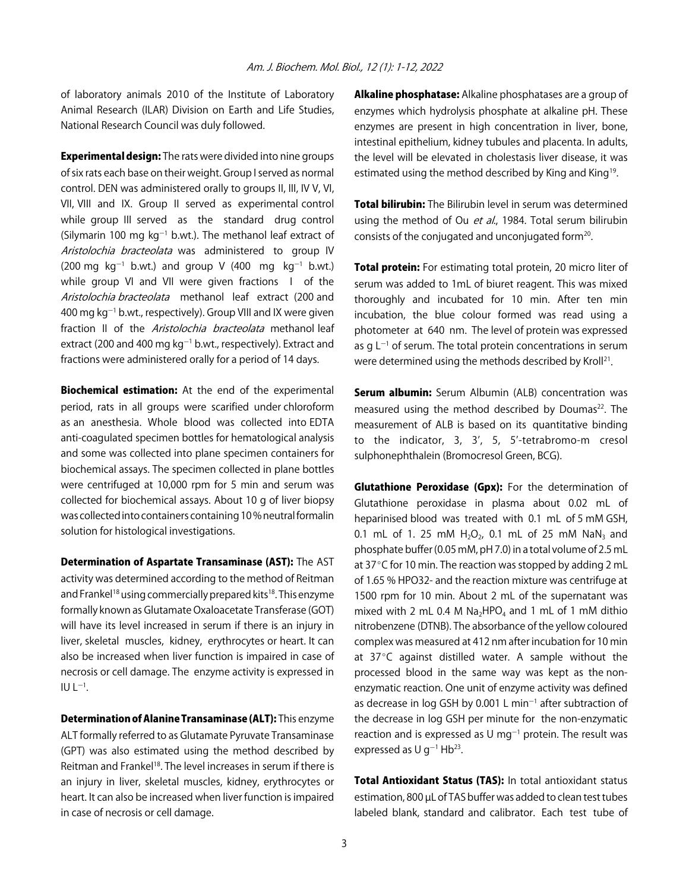of laboratory animals 2010 of the Institute of Laboratory Animal Research (ILAR) Division on Earth and Life Studies, National Research Council was duly followed.

**Experimental design:** The rats were divided into nine groups of six rats each base on their weight. Group I served as normal control. DEN was administered orally to groups II, III, IV V, VI, VII, VIII and IX. Group II served as experimental control while group III served as the standard drug control (Silymarin 100 mg  $kg^{-1}$  b.wt.). The methanol leaf extract of Aristolochia bracteolata was administered to group IV  $(200 \text{ mg kg}^{-1} \text{ b.wt.})$  and group V  $(400 \text{ mg kg}^{-1} \text{ b.wt.})$ while group VI and VII were given fractions I of the Aristolochia bracteolata methanol leaf extract (200 and 400 mg  $kg^{-1}$  b.wt., respectively). Group VIII and IX were given fraction II of the Aristolochia bracteolata methanol leaf extract (200 and 400 mg  $kg^{-1}$  b.wt., respectively). Extract and fractions were administered orally for a period of 14 days.

Biochemical estimation: At the end of the experimental period, rats in all groups were scarified under chloroform as an anesthesia. Whole blood was collected into EDTA anti-coagulated specimen bottles for hematological analysis and some was collected into plane specimen containers for biochemical assays. The specimen collected in plane bottles were centrifuged at 10,000 rpm for 5 min and serum was collected for biochemical assays. About 10 g of liver biopsy was collected into containers containing 10 % neutral formalin solution for histological investigations.

Determination of Aspartate Transaminase (AST): The AST activity was determined according to the method of Reitman and Frankel<sup>18</sup> using commercially prepared kits<sup>18</sup>. This enzyme formally known as Glutamate Oxaloacetate Transferase (GOT) will have its level increased in serum if there is an injury in liver, skeletal muscles, kidney, erythrocytes or heart. It can also be increased when liver function is impaired in case of necrosis or cell damage. The enzyme activity is expressed in IU L $^{-1}$ .

Determination of Alanine Transaminase (ALT): This enzyme ALT formally referred to as Glutamate Pyruvate Transaminase (GPT) was also estimated using the method described by Reitman and Frankel<sup>18</sup>. The level increases in serum if there is an injury in liver, skeletal muscles, kidney, erythrocytes or heart. It can also be increased when liver function is impaired in case of necrosis or cell damage.

Alkaline phosphatase: Alkaline phosphatases are a group of enzymes which hydrolysis phosphate at alkaline pH. These enzymes are present in high concentration in liver, bone, intestinal epithelium, kidney tubules and placenta. In adults, the level will be elevated in cholestasis liver disease, it was estimated using the method described by King and King<sup>19</sup>.

**Total bilirubin:** The Bilirubin level in serum was determined using the method of Ou et al., 1984. Total serum bilirubin consists of the conjugated and unconjugated form<sup>20</sup>.

**Total protein:** For estimating total protein, 20 micro liter of serum was added to 1mL of biuret reagent. This was mixed thoroughly and incubated for 10 min. After ten min incubation, the blue colour formed was read using a photometer at 640 nm. The level of protein was expressed as g  $L^{-1}$  of serum. The total protein concentrations in serum were determined using the methods described by Kroll<sup>21</sup>.

**Serum albumin:** Serum Albumin (ALB) concentration was measured using the method described by Doumas<sup>22</sup>. The measurement of ALB is based on its quantitative binding to the indicator, 3, 3', 5, 5'-tetrabromo-m cresol sulphonephthalein (Bromocresol Green, BCG).

**Glutathione Peroxidase (Gpx):** For the determination of Glutathione peroxidase in plasma about 0.02 mL of heparinised blood was treated with 0.1 mL of 5 mM GSH, 0.1 mL of 1. 25 mM  $H_2O_2$ , 0.1 mL of 25 mM NaN<sub>3</sub> and phosphate buffer (0.05 mM, pH 7.0) in a total volume of 2.5 mL at  $37^{\circ}$ C for 10 min. The reaction was stopped by adding 2 mL of 1.65 % HPO32- and the reaction mixture was centrifuge at 1500 rpm for 10 min. About 2 mL of the supernatant was mixed with 2 mL 0.4 M  $Na<sub>2</sub>HPO<sub>4</sub>$  and 1 mL of 1 mM dithio nitrobenzene (DTNB). The absorbance of the yellow coloured complex was measured at 412 nm after incubation for 10 min at  $37^{\circ}$ C against distilled water. A sample without the processed blood in the same way was kept as the nonenzymatic reaction. One unit of enzyme activity was defined as decrease in log GSH by 0.001 L min $^{-1}$  after subtraction of the decrease in log GSH per minute for the non-enzymatic reaction and is expressed as U mg<sup>-1</sup> protein. The result was expressed as U g<sup>-1</sup> Hb<sup>23</sup>.

Total Antioxidant Status (TAS): In total antioxidant status estimation, 800 µL of TAS buffer was added to clean test tubes labeled blank, standard and calibrator. Each test tube of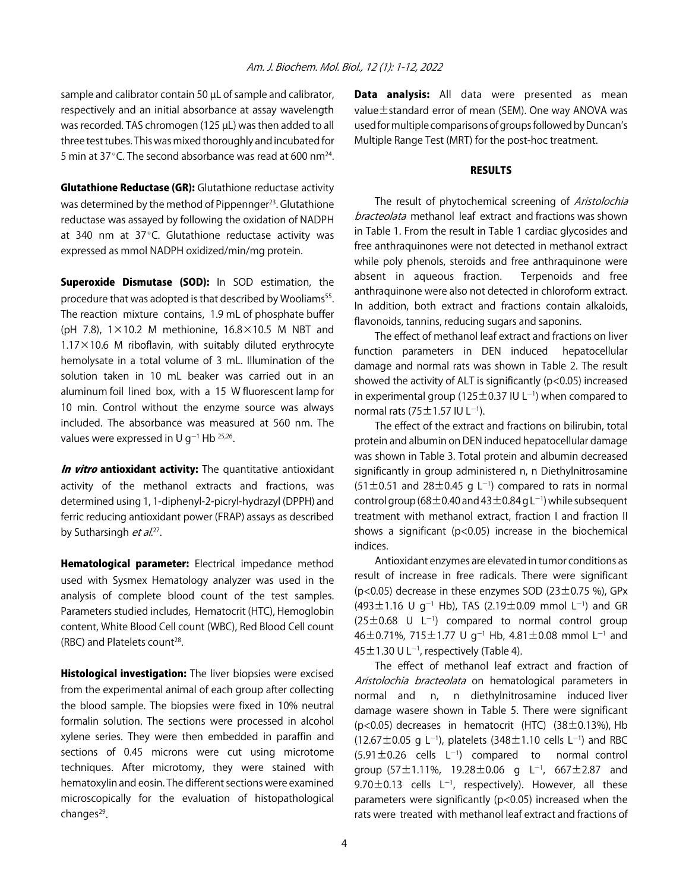sample and calibrator contain 50 µL of sample and calibrator, respectively and an initial absorbance at assay wavelength was recorded. TAS chromogen (125 µL) was then added to all three test tubes. This was mixed thoroughly and incubated for 5 min at 37 $^{\circ}$ C. The second absorbance was read at 600 nm<sup>24</sup>.

**Glutathione Reductase (GR):** Glutathione reductase activity was determined by the method of Pippennger<sup>23</sup>. Glutathione reductase was assayed by following the oxidation of NADPH at 340 nm at 37 $^{\circ}$ C. Glutathione reductase activity was expressed as mmol NADPH oxidized/min/mg protein.

**Superoxide Dismutase (SOD):** In SOD estimation, the procedure that was adopted is that described by Wooliams<sup>55</sup>. The reaction mixture contains, 1.9 mL of phosphate buffer (pH 7.8),  $1 \times 10.2$  M methionine,  $16.8 \times 10.5$  M NBT and  $1.17 \times 10.6$  M riboflavin, with suitably diluted erythrocyte hemolysate in a total volume of 3 mL. Illumination of the solution taken in 10 mL beaker was carried out in an aluminum foil lined box, with a 15 W fluorescent lamp for 10 min. Control without the enzyme source was always included. The absorbance was measured at 560 nm. The values were expressed in U g<sup>-1</sup> Hb  $^{25,26}$ .

In vitro antioxidant activity: The quantitative antioxidant activity of the methanol extracts and fractions, was determined using 1, 1-diphenyl-2-picryl-hydrazyl (DPPH) and ferric reducing antioxidant power (FRAP) assays as described by Sutharsingh *et al.*<sup>27</sup>.

**Hematological parameter:** Electrical impedance method used with Sysmex Hematology analyzer was used in the analysis of complete blood count of the test samples. Parameters studied includes, Hematocrit (HTC), Hemoglobin content, White Blood Cell count (WBC), Red Blood Cell count (RBC) and Platelets count<sup>28</sup>.

**Histological investigation:** The liver biopsies were excised from the experimental animal of each group after collecting the blood sample. The biopsies were fixed in 10% neutral formalin solution. The sections were processed in alcohol xylene series. They were then embedded in paraffin and sections of 0.45 microns were cut using microtome techniques. After microtomy, they were stained with hematoxylin and eosin. The different sections were examined microscopically for the evaluation of histopathological changes $29$ .

Data analysis: All data were presented as mean value±standard error of mean (SEM). One way ANOVA was used for multiple comparisons of groups followed by Duncan's Multiple Range Test (MRT) for the post-hoc treatment.

#### **RESULTS**

The result of phytochemical screening of Aristolochia bracteolata methanol leaf extract and fractions was shown in Table 1. From the result in Table 1 cardiac glycosides and free anthraquinones were not detected in methanol extract while poly phenols, steroids and free anthraquinone were absent in aqueous fraction. Terpenoids and free anthraquinone were also not detected in chloroform extract. In addition, both extract and fractions contain alkaloids, flavonoids, tannins, reducing sugars and saponins.

The effect of methanol leaf extract and fractions on liver function parameters in DEN induced hepatocellular damage and normal rats was shown in Table 2. The result showed the activity of ALT is significantly (p<0.05) increased in experimental group (125 $\pm$ 0.37 IU L<sup>-1</sup>) when compared to normal rats (75 $\pm$ 1.57 IU L<sup>-1</sup>).

The effect of the extract and fractions on bilirubin, total protein and albumin on DEN induced hepatocellular damage was shown in Table 3. Total protein and albumin decreased significantly in group administered n, n Diethylnitrosamine  $(51 \pm 0.51$  and  $28 \pm 0.45$  g L<sup>-1</sup>) compared to rats in normal control group (68 $\pm$ 0.40 and 43  $\pm$ 0.84 g L $^{-1}$ ) while subsequent treatment with methanol extract, fraction I and fraction II shows a significant ( $p$ <0.05) increase in the biochemical indices.

Antioxidant enzymes are elevated in tumor conditions as result of increase in free radicals. There were significant (p<0.05) decrease in these enzymes SOD (23 $\pm$ 0.75 %), GPx  $(493 \pm 1.16 \text{ U } g^{-1}$  Hb), TAS  $(2.19 \pm 0.09 \text{ mmol } L^{-1})$  and GR  $(25 \pm 0.68 \text{ U } L^{-1})$  compared to normal control group 46 $\pm$ 0.71%, 715 $\pm$ 1.77 U g $^{-1}$  Hb, 4.81 $\pm$ 0.08 mmol L $^{-1}$  and 45  $\pm$  1.30 U L<sup>-1</sup>, respectively (Table 4).

The effect of methanol leaf extract and fraction of Aristolochia bracteolata on hematological parameters in normal and n, n diethylnitrosamine induced liver damage wasere shown in Table 5. There were significant ( $p$ <0.05) decreases in hematocrit (HTC) ( $38 \pm 0.13$ %), Hb  $(12.67 \pm 0.05 \text{ g L}^{-1})$ , platelets  $(348 \pm 1.10 \text{ cells L}^{-1})$  and RBC  $(5.91 \pm 0.26$  cells  $L^{-1}$ ) compared to normal control group (57 $\pm$ 1.11%, 19.28 $\pm$ 0.06 g L<sup>-1</sup>, 667 $\pm$ 2.87 and 9.70 $\pm$ 0.13 cells L<sup>-1</sup>, respectively). However, all these parameters were significantly (p<0.05) increased when the rats were treated with methanol leaf extract and fractions of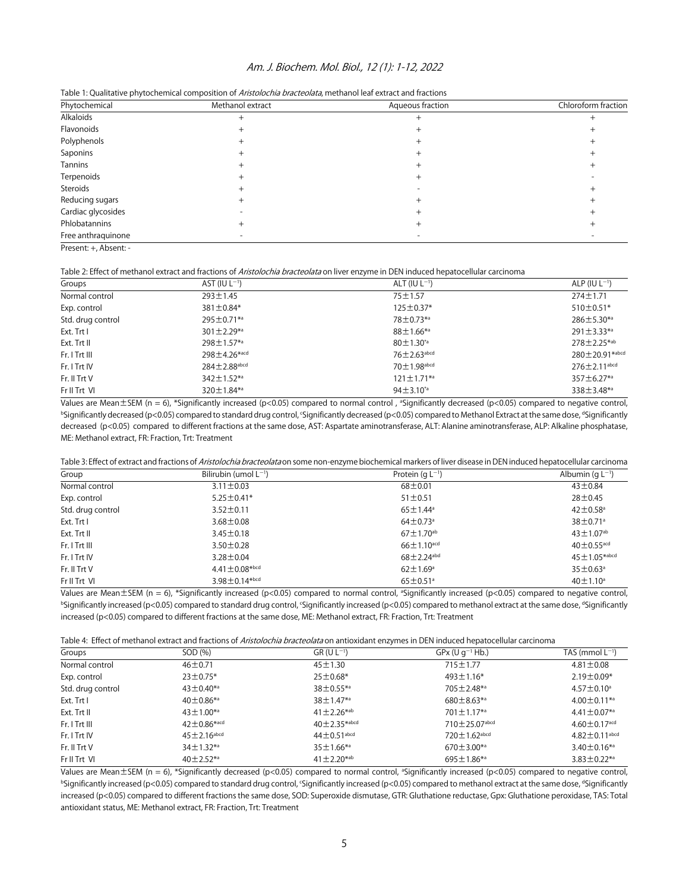#### Am. J. Biochem. Mol. Biol., 12 (1): 1-12, 2022

| Phytochemical      | Methanol extract | Aqueous fraction | Chloroform fraction |  |
|--------------------|------------------|------------------|---------------------|--|
| Alkaloids          |                  |                  |                     |  |
| Flavonoids         |                  |                  |                     |  |
| Polyphenols        |                  |                  |                     |  |
| Saponins           |                  |                  |                     |  |
| Tannins            |                  |                  |                     |  |
| Terpenoids         |                  |                  |                     |  |
| Steroids           |                  |                  |                     |  |
| Reducing sugars    |                  |                  |                     |  |
| Cardiac glycosides |                  |                  |                     |  |
| Phlobatannins      |                  |                  |                     |  |
| Free anthraquinone |                  |                  |                     |  |

Table 1: Qualitative phytochemical composition of Aristolochia bracteolata, methanol leaf extract and fractions

Present: +, Absent: -

Table 2: Effect of methanol extract and fractions of Aristolochia bracteolata on liver enzyme in DEN induced hepatocellular carcinoma

| Groups            | AST (IU $L^{-1}$ )           | ALT (IU $L^{-1}$ )           | ALP (IU $L^{-1}$ )               |
|-------------------|------------------------------|------------------------------|----------------------------------|
| Normal control    | $293 \pm 1.45$               | $75 + 1.57$                  | $274 \pm 1.71$                   |
| Exp. control      | $381 \pm 0.84*$              | $125 \pm 0.37*$              | $510 \pm 0.51*$                  |
| Std. drug control | $295 \pm 0.71$ <sup>*a</sup> | 78±0.73*a                    | $286 \pm 5.30^{*a}$              |
| Ext. Trt I        | $301 \pm 2.29$ <sup>*a</sup> | $88 \pm 1.66^{*a}$           | $291 \pm 3.33^{*a}$              |
| Ext. Trt II       | $298 \pm 1.57$ *a            | $80 \pm 1.30^{*}$            | $278 \pm 2.25^{*ab}$             |
| Fr. I Trt III     | 298±4.26*acd                 | $76 \pm 2.63$ abcd           | $280 \pm 20.91$ <sup>*abcd</sup> |
| Fr. I Trt IV      | $284 \pm 2.88$ abcd          | $70 \pm 1.98$ abcd           | $276 \pm 2.11$ <sup>abcd</sup>   |
| Fr. II Trt V      | $342 \pm 1.52$ <sup>*a</sup> | $121 \pm 1.71$ <sup>*a</sup> | $357 \pm 6.27$ *a                |
| Fr II Trt VI      | $320 \pm 1.84$ *a            | $94 \pm 3.10^{4}$            | 338 $\pm$ 3.48*a                 |

Values are Mean $\pm$ SEM (n = 6), \*Significantly increased (p<0.05) compared to normal control, <sup>a</sup>Significantly decreased (p<0.05) compared to negative control, bSignificantly decreased (p<0.05) compared to standard drug control, 'Significantly decreased (p<0.05) compared to Methanol Extract at the same dose, "Significantly decreased (p<0.05) compared to different fractions at the same dose, AST: Aspartate aminotransferase, ALT: Alanine aminotransferase, ALP: Alkaline phosphatase, ME: Methanol extract, FR: Fraction, Trt: Treatment

| Table 3: Effect of extract and fractions of <i>Aristolochia bracteolata</i> on some non-enzyme biochemical markers of liver disease in DEN induced hepatocellular carcinoma |  |
|-----------------------------------------------------------------------------------------------------------------------------------------------------------------------------|--|
|-----------------------------------------------------------------------------------------------------------------------------------------------------------------------------|--|

| Group             | Bilirubin (umol $L^{-1}$ )      | Protein $(qL^{-1})$          | Albumin (g $L^{-1}$ )       |
|-------------------|---------------------------------|------------------------------|-----------------------------|
| Normal control    | $3.11 \pm 0.03$                 | $68 + 0.01$                  | $43 + 0.84$                 |
| Exp. control      | $5.25 \pm 0.41*$                | $51 \pm 0.51$                | $28 + 0.45$                 |
| Std. drug control | $3.52 \pm 0.11$                 | $65 \pm 1.44^{\circ}$        | $42\pm0.58$ <sup>a</sup>    |
| Ext. Trt I        | $3.68 \pm 0.08$                 | $64 \pm 0.73$ <sup>a</sup>   | 38±0.71ª                    |
| Ext. Trt II       | $3.45 \pm 0.18$                 | $67 \pm 1.70$ <sup>ab</sup>  | $43 \pm 1.07$ <sup>ab</sup> |
| Fr. I Trt III     | $3.50 \pm 0.28$                 | $66 \pm 1.10^{\text{acd}}$   | $40\pm0.55$ <sup>acd</sup>  |
| Fr. I Trt IV      | $3.28 \pm 0.04$                 | $68 \pm 2.24$ <sup>abd</sup> | $45 \pm 1.05*$ abcd         |
| $Fr.$ II Trt V    | $4.41 \pm 0.08*{b}$ cd          | $62 \pm 1.69$ <sup>a</sup>   | $35 \pm 0.63$ <sup>a</sup>  |
| Fr II Trt VI      | $3.98 \pm 0.14$ <sup>*bcd</sup> | $65 \pm 0.51$ <sup>a</sup>   | $40 \pm 1.10^a$             |

Values are Mean $\pm$ SEM (n = 6), \*Significantly increased (p<0.05) compared to normal control, <sup>a</sup>Significantly increased (p<0.05) compared to negative control, <sup>b</sup>Significantly increased (p<0.05) compared to standard drug control, 'Significantly increased (p<0.05) compared to methanol extract at the same dose, <sup>d</sup>Significantly increased (p<0.05) compared to different fractions at the same dose, ME: Methanol extract, FR: Fraction, Trt: Treatment

| Table 4: Effect of methanol extract and fractions of <i>Aristolochia bracteolata</i> on antioxidant enzymes in DEN induced hepatocellular carcinoma |  |  |
|-----------------------------------------------------------------------------------------------------------------------------------------------------|--|--|
|                                                                                                                                                     |  |  |

| Groups            | SOD (%)                       | $GR (U L^{-1})$               | $GPx (U q^{-1} Hb.)$            | TAS (mmol $L^{-1}$ )           |
|-------------------|-------------------------------|-------------------------------|---------------------------------|--------------------------------|
| Normal control    | $46 \pm 0.71$                 | $45 \pm 1.30$                 | $715 \pm 1.77$                  | $4.81 \pm 0.08$                |
| Exp. control      | $23 \pm 0.75*$                | $25 \pm 0.68*$                | $493 \pm 1.16*$                 | $2.19 \pm 0.09*$               |
| Std. drug control | $43 \pm 0.40^{*a}$            | $38 \pm 0.55$ *a              | $705 \pm 2.48$ *a               | $4.57 \pm 0.10$ <sup>a</sup>   |
| Ext. Trt I        | $40 \pm 0.86$ <sup>*a</sup>   | $38 \pm 1.47$ <sup>*a</sup>   | $680 \pm 8.63^{*a}$             | $4.00 \pm 0.11$ <sup>*a</sup>  |
| Ext. Trt II       | $43 \pm 1.00^{*a}$            | $41 \pm 2.26^{*ab}$           | $701 \pm 1.17^{*a}$             | $4.41 \pm 0.07$ <sup>*a</sup>  |
| Fr. I Trt III     | $42 \pm 0.86*$ <sup>acd</sup> | $40 + 2.35*abcd$              | $710 \pm 25.07$ <sup>abcd</sup> | $4.60 \pm 0.17$ <sup>acd</sup> |
| Fr. I Trt IV      | $45 \pm 2.16$ abcd            | $44 \pm 0.51$ <sup>abcd</sup> | $720 \pm 1.62$ abcd             | $4.82 \pm 0.11$ abcd           |
| Fr. II Trt V      | $34 \pm 1.32^{*a}$            | $35 \pm 1.66$ <sup>*a</sup>   | $670 \pm 3.00$ <sup>*a</sup>    | $3.40 \pm 0.16^{*a}$           |
| Fr II Trt VI      | $40 \pm 2.52$ <sup>*a</sup>   | $41 \pm 2.20^{*ab}$           | $695 \pm 1.86$ *a               | $3.83 \pm 0.22$ *a             |

Values are Mean±SEM (n = 6), \*Significantly decreased (p<0.05) compared to normal control, <sup>a</sup>Significantly increased (p<0.05) compared to negative control, <sup>b</sup>Significantly increased (p<0.05) compared to standard drug control, 'Significantly increased (p<0.05) compared to methanol extract at the same dose, <sup>d</sup>Significantly increased (p<0.05) compared to different fractions the same dose, SOD: Superoxide dismutase, GTR: Gluthatione reductase, Gpx: Gluthatione peroxidase, TAS: Total antioxidant status, ME: Methanol extract, FR: Fraction, Trt: Treatment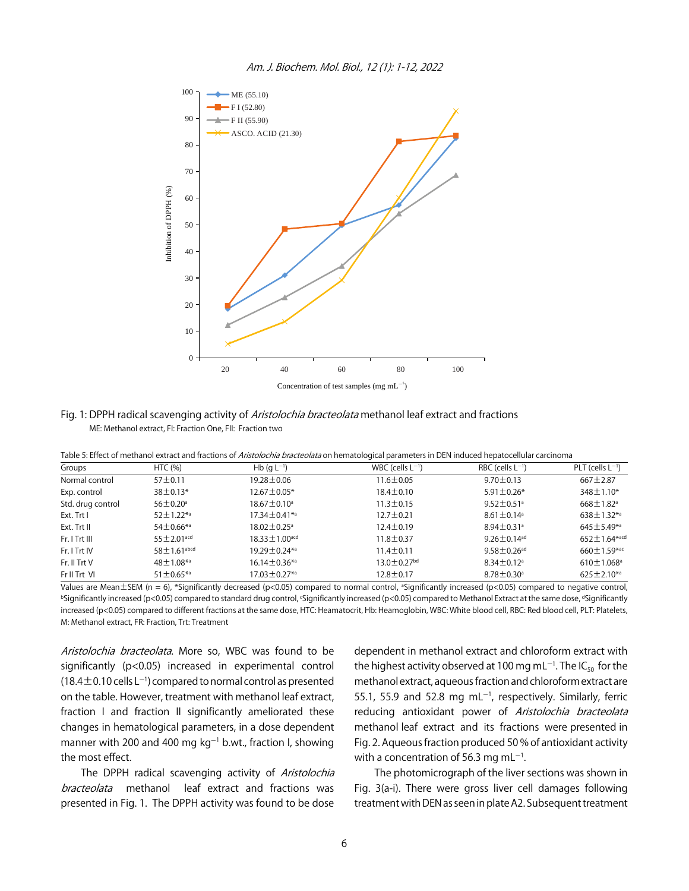

Fig. 1: DPPH radical scavenging activity of Aristolochia bracteolata methanol leaf extract and fractions ME: Methanol extract, FI: Fraction One, FII: Fraction two

|  | Table 5: Effect of methanol extract and fractions of <i>Aristolochia bracteolata</i> on hematological parameters in DEN induced hepatocellular carcinoma |  |  |  |
|--|----------------------------------------------------------------------------------------------------------------------------------------------------------|--|--|--|
|--|----------------------------------------------------------------------------------------------------------------------------------------------------------|--|--|--|

| Groups            | HTC $(% )$                    | Hb (g $L^{-1}$ )                | WBC (cells $L^{-1}$ ) | RBC (cells $L^{-1}$ )         | $PLT$ (cells $L^{-1}$ )        |
|-------------------|-------------------------------|---------------------------------|-----------------------|-------------------------------|--------------------------------|
| Normal control    | 57 <sup>±</sup> 0.11          | 19.28 ± 0.06                    | $11.6 \pm 0.05$       | $9.70 \pm 0.13$               | $667 \pm 2.87$                 |
| Exp. control      | $38 \pm 0.13*$                | 12.67±0.05*                     | $18.4 \pm 0.10$       | $5.91 \pm 0.26*$              | $348 \pm 1.10*$                |
| Std. drug control | $56 \pm 0.20^{\circ}$         | $18.67 \pm 0.10^a$              | $11.3 \pm 0.15$       | $9.52 \pm 0.51$ <sup>a</sup>  | $668 \pm 1.82$ <sup>a</sup>    |
| Ext. Trt I        | $52 \pm 1.22$ *a              | 17.34±0.41 <sup>*a</sup>        | $12.7 \pm 0.21$       | $8.61 \pm 0.14$ <sup>a</sup>  | $638 \pm 1.32$ *a              |
| Ext. Trt II       | $54 \pm 0.66$ *a              | $18.02 \pm 0.25$ <sup>a</sup>   | $12.4 \pm 0.19$       | $8.94 \pm 0.31$ <sup>a</sup>  | $645 \pm 5.49^{*a}$            |
| Fr. I Trt III     | $55 \pm 2.01$ acd             | $18.33 \pm 1.00$ <sup>acd</sup> | $11.8 \pm 0.37$       | 9.26 $\pm$ 0.14 <sup>ad</sup> | $652 \pm 1.64$ <sup>*acd</sup> |
| Fr. I Trt IV      | $58 \pm 1.61$ <sup>abcd</sup> | 19.29±0.24 <sup>*a</sup>        | $11.4 \pm 0.11$       | $9.58 \pm 0.26$ <sup>ad</sup> | $660 \pm 1.59$ *ac             |
| Fr. II Trt V      | $48 \pm 1.08$ *a              | $16.14 \pm 0.36$ *a             | $13.0 \pm 0.27$ bd    | $8.34 \pm 0.12$ <sup>a</sup>  | $610 \pm 1.068$ <sup>a</sup>   |
| Fr II Trt VI      | $51 \pm 0.65$ *a              | 17.03 ± 0.27*a                  | $12.8 \pm 0.17$       | $8.78 \pm 0.30^{\circ}$       | $625 \pm 2.10^{*a}$            |

Values are Mean $\pm$ SEM (n = 6), \*Significantly decreased (p<0.05) compared to normal control, <sup>a</sup>Significantly increased (p<0.05) compared to negative control, <sup>b</sup>Significantly increased (p<0.05) compared to standard drug control, 'Significantly increased (p<0.05) compared to Methanol Extract at the same dose, <sup>d</sup>Significantly increased (p<0.05) compared to different fractions at the same dose, HTC: Heamatocrit, Hb: Heamoglobin, WBC: White blood cell, RBC: Red blood cell, PLT: Platelets, M: Methanol extract, FR: Fraction, Trt: Treatment

Aristolochia bracteolata. More so, WBC was found to be significantly (p<0.05) increased in experimental control  $(18.4\pm0.10$  cells L<sup>-1</sup>) compared to normal control as presented on the table. However, treatment with methanol leaf extract, fraction I and fraction II significantly ameliorated these changes in hematological parameters, in a dose dependent manner with 200 and 400 mg  $kg^{-1}$  b.wt., fraction I, showing the most effect.

The DPPH radical scavenging activity of Aristolochia bracteolata methanol leaf extract and fractions was presented in Fig. 1. The DPPH activity was found to be dose

dependent in methanol extract and chloroform extract with the highest activity observed at 100 mg mL $^{-1}$ . The IC $_{50}$  for the methanol extract, aqueous fraction and chloroform extract are 55.1, 55.9 and 52.8 mg mL $^{-1}$ , respectively. Similarly, ferric reducing antioxidant power of Aristolochia bracteolata methanol leaf extract and its fractions were presented in Fig. 2. Aqueous fraction produced 50 % of antioxidant activity with a concentration of 56.3 mg mL $^{\rm -1}.$ 

The photomicrograph of the liver sections was shown in Fig. 3(a-i). There were gross liver cell damages following treatment with DEN as seen in plate A2. Subsequent treatment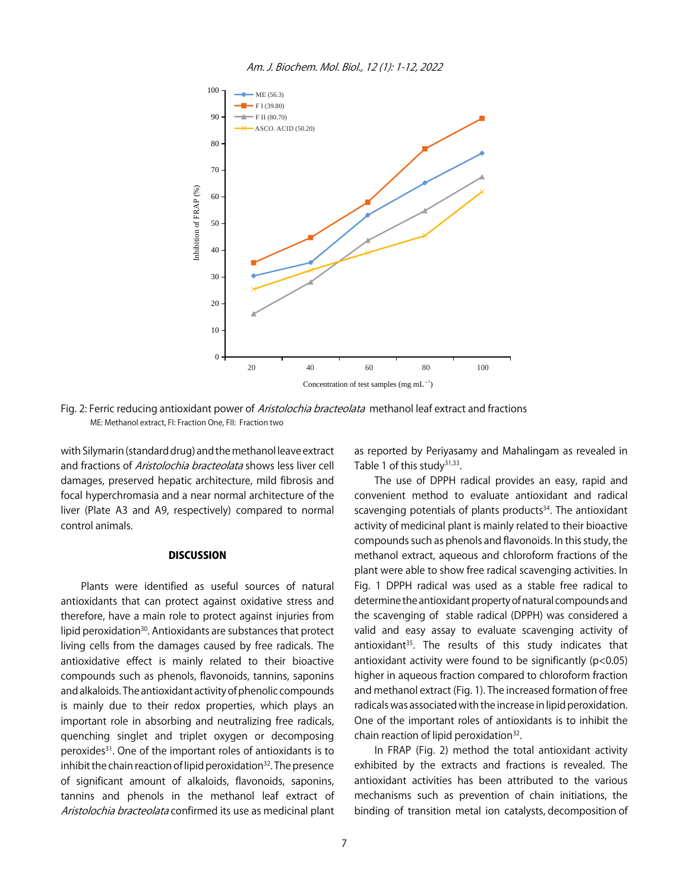



Fig. 2: Ferric reducing antioxidant power of Aristolochia bracteolata methanol leaf extract and fractions ME: Methanol extract, FI: Fraction One, FII: Fraction two

with Silymarin (standard drug) and the methanol leave extract and fractions of Aristolochia bracteolata shows less liver cell damages, preserved hepatic architecture, mild fibrosis and focal hyperchromasia and a near normal architecture of the liver (Plate A3 and A9, respectively) compared to normal control animals.

#### **DISCUSSION**

Plants were identified as useful sources of natural antioxidants that can protect against oxidative stress and therefore, have a main role to protect against injuries from lipid peroxidation<sup>30</sup>. Antioxidants are substances that protect living cells from the damages caused by free radicals. The antioxidative effect is mainly related to their bioactive compounds such as phenols, flavonoids, tannins, saponins and alkaloids. The antioxidant activity of phenolic compounds is mainly due to their redox properties, which plays an important role in absorbing and neutralizing free radicals, quenching singlet and triplet oxygen or decomposing peroxides31. One of the important roles of antioxidants is to inhibit the chain reaction of lipid peroxidation $32$ . The presence of significant amount of alkaloids, flavonoids, saponins, tannins and phenols in the methanol leaf extract of Aristolochia bracteolata confirmed its use as medicinal plant as reported by Periyasamy and Mahalingam as revealed in Table 1 of this study $31,33$ .

The use of DPPH radical provides an easy, rapid and convenient method to evaluate antioxidant and radical scavenging potentials of plants products<sup>34</sup>. The antioxidant activity of medicinal plant is mainly related to their bioactive compounds such as phenols and flavonoids. In this study, the methanol extract, aqueous and chloroform fractions of the plant were able to show free radical scavenging activities. In Fig. 1 DPPH radical was used as a stable free radical to determine the antioxidant property of natural compounds and the scavenging of stable radical (DPPH) was considered a valid and easy assay to evaluate scavenging activity of antioxidant<sup>35</sup>. The results of this study indicates that antioxidant activity were found to be significantly  $(p<0.05)$ higher in aqueous fraction compared to chloroform fraction and methanol extract (Fig. 1). The increased formation of free radicals was associated with the increase in lipid peroxidation. One of the important roles of antioxidants is to inhibit the chain reaction of lipid peroxidation<sup>32</sup>.

In FRAP (Fig. 2) method the total antioxidant activity exhibited by the extracts and fractions is revealed. The antioxidant activities has been attributed to the various mechanisms such as prevention of chain initiations, the binding of transition metal ion catalysts, decomposition of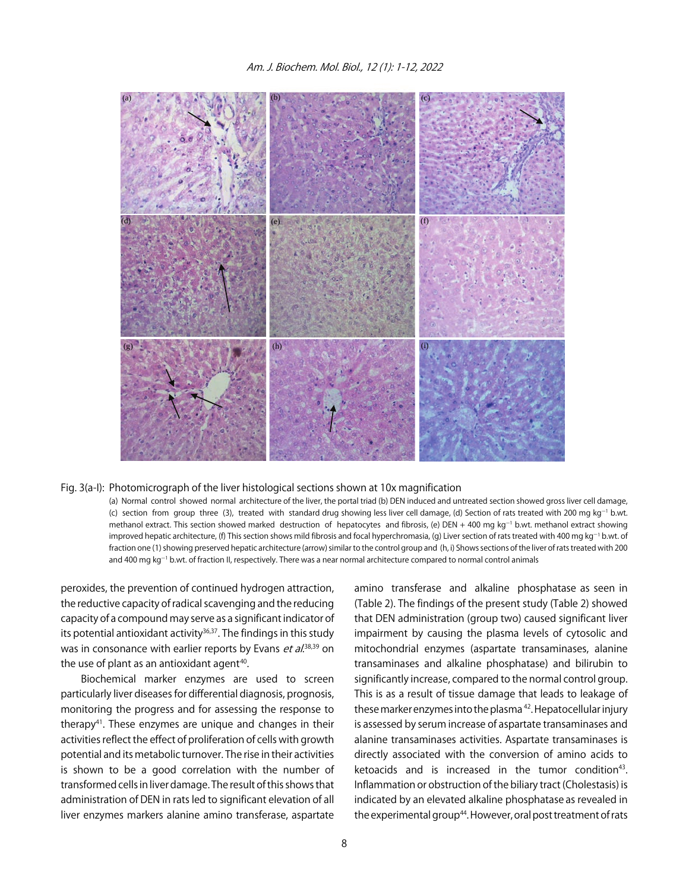

#### Fig. 3(a-I): Photomicrograph of the liver histological sections shown at 10x magnification

(a) Normal control showed normal architecture of the liver, the portal triad (b) DEN induced and untreated section showed gross liver cell damage, (c) section from group three (3), treated with standard drug showing less liver cell damage, (d) Section of rats treated with 200 mg kg<sup>-1</sup> b.wt. methanol extract. This section showed marked destruction of hepatocytes and fibrosis, (e) DEN + 400 mg kg<sup>-1</sup> b.wt. methanol extract showing improved hepatic architecture, (f) This section shows mild fibrosis and focal hyperchromasia, (g) Liver section of rats treated with 400 mg kg<sup>-1</sup> b.wt. of fraction one (1) showing preserved hepatic architecture (arrow) similar to the control group and (h, i) Shows sections of the liver of rats treated with 200 and 400 mg kg $^{-1}$  b.wt. of fraction II, respectively. There was a near normal architecture compared to normal control animals

peroxides, the prevention of continued hydrogen attraction, the reductive capacity of radical scavenging and the reducing capacity of a compound may serve as a significant indicator of its potential antioxidant activity $36,37$ . The findings in this study was in consonance with earlier reports by Evans *et al*.<sup>38,39</sup> on the use of plant as an antioxidant agent $40$ .

Biochemical marker enzymes are used to screen particularly liver diseases for differential diagnosis, prognosis, monitoring the progress and for assessing the response to therapy<sup>41</sup>. These enzymes are unique and changes in their activities reflect the effect of proliferation of cells with growth potential and its metabolic turnover. The rise in their activities is shown to be a good correlation with the number of transformed cells in liver damage. The result of this shows that administration of DEN in rats led to significant elevation of all liver enzymes markers alanine amino transferase, aspartate

amino transferase and alkaline phosphatase as seen in (Table 2). The findings of the present study (Table 2) showed that DEN administration (group two) caused significant liver impairment by causing the plasma levels of cytosolic and mitochondrial enzymes (aspartate transaminases, alanine transaminases and alkaline phosphatase) and bilirubin to significantly increase, compared to the normal control group. This is as a result of tissue damage that leads to leakage of these marker enzymes into the plasma 42. Hepatocellular injury is assessed by serum increase of aspartate transaminases and alanine transaminases activities. Aspartate transaminases is directly associated with the conversion of amino acids to ketoacids and is increased in the tumor condition $43$ . Inflammation or obstruction of the biliary tract (Cholestasis) is indicated by an elevated alkaline phosphatase as revealed in the experimental group<sup>44</sup>. However, oral post treatment of rats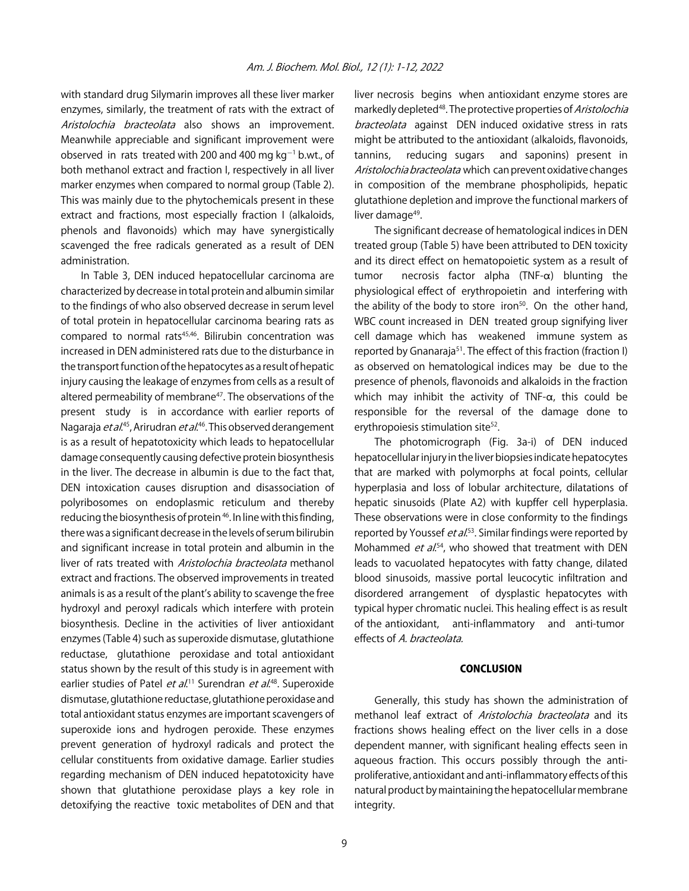with standard drug Silymarin improves all these liver marker enzymes, similarly, the treatment of rats with the extract of Aristolochia bracteolata also shows an improvement. Meanwhile appreciable and significant improvement were observed in rats treated with 200 and 400 mg  $kg^{-1}$  b.wt., of both methanol extract and fraction I, respectively in all liver marker enzymes when compared to normal group (Table 2). This was mainly due to the phytochemicals present in these extract and fractions, most especially fraction I (alkaloids, phenols and flavonoids) which may have synergistically scavenged the free radicals generated as a result of DEN administration.

In Table 3, DEN induced hepatocellular carcinoma are characterized by decrease in total protein and albumin similar to the findings of who also observed decrease in serum level of total protein in hepatocellular carcinoma bearing rats as compared to normal rats<sup>45,46</sup>. Bilirubin concentration was increased in DEN administered rats due to the disturbance in the transport function of the hepatocytes as a result of hepatic injury causing the leakage of enzymes from cells as a result of altered permeability of membrane<sup>47</sup>. The observations of the present study is in accordance with earlier reports of Nagaraja *et al*.<sup>45</sup>, Arirudran *et al*.<sup>46</sup>. This observed derangement is as a result of hepatotoxicity which leads to hepatocellular damage consequently causing defective protein biosynthesis in the liver. The decrease in albumin is due to the fact that, DEN intoxication causes disruption and disassociation of polyribosomes on endoplasmic reticulum and thereby reducing the biosynthesis of protein 46. In line with this finding, there was a significant decrease in the levels of serum bilirubin and significant increase in total protein and albumin in the liver of rats treated with Aristolochia bracteolata methanol extract and fractions. The observed improvements in treated animals is as a result of the plant's ability to scavenge the free hydroxyl and peroxyl radicals which interfere with protein biosynthesis. Decline in the activities of liver antioxidant enzymes (Table 4) such as superoxide dismutase, glutathione reductase, glutathione peroxidase and total antioxidant status shown by the result of this study is in agreement with earlier studies of Patel *et al*.<sup>11</sup> Surendran *et al*.<sup>48</sup>. Superoxide dismutase, glutathione reductase, glutathione peroxidase and total antioxidant status enzymes are important scavengers of superoxide ions and hydrogen peroxide. These enzymes prevent generation of hydroxyl radicals and protect the cellular constituents from oxidative damage. Earlier studies regarding mechanism of DEN induced hepatotoxicity have shown that glutathione peroxidase plays a key role in detoxifying the reactive toxic metabolites of DEN and that

liver necrosis begins when antioxidant enzyme stores are markedly depleted<sup>48</sup>. The protective properties of *Aristolochia* bracteolata against DEN induced oxidative stress in rats might be attributed to the antioxidant (alkaloids, flavonoids, tannins, reducing sugars and saponins) present in Aristolochia bracteolata which can prevent oxidative changes in composition of the membrane phospholipids, hepatic glutathione depletion and improve the functional markers of liver damage<sup>49</sup>.

The significant decrease of hematological indices in DEN treated group (Table 5) have been attributed to DEN toxicity and its direct effect on hematopoietic system as a result of tumor necrosis factor alpha  $(TNF-\alpha)$  blunting the physiological effect of erythropoietin and interfering with the ability of the body to store iron<sup>50</sup>. On the other hand, WBC count increased in DEN treated group signifying liver cell damage which has weakened immune system as reported by Gnanaraja<sup>51</sup>. The effect of this fraction (fraction I) as observed on hematological indices may be due to the presence of phenols, flavonoids and alkaloids in the fraction which may inhibit the activity of TNF- $\alpha$ , this could be responsible for the reversal of the damage done to erythropoiesis stimulation site<sup>52</sup>.

The photomicrograph (Fig. 3a-i) of DEN induced hepatocellular injury in the liver biopsies indicate hepatocytes that are marked with polymorphs at focal points, cellular hyperplasia and loss of lobular architecture, dilatations of hepatic sinusoids (Plate A2) with kupffer cell hyperplasia. These observations were in close conformity to the findings reported by Youssef *et al*.<sup>53</sup>. Similar findings were reported by Mohammed *et al.*<sup>54</sup>, who showed that treatment with DEN leads to vacuolated hepatocytes with fatty change, dilated blood sinusoids, massive portal leucocytic infiltration and disordered arrangement of dysplastic hepatocytes with typical hyper chromatic nuclei. This healing effect is as result of the antioxidant, anti-inflammatory and anti-tumor effects of A. bracteolata.

#### CONCLUSION

Generally, this study has shown the administration of methanol leaf extract of *Aristolochia bracteolata* and its fractions shows healing effect on the liver cells in a dose dependent manner, with significant healing effects seen in aqueous fraction. This occurs possibly through the antiproliferative, antioxidant and anti-inflammatory effects of this natural product by maintaining the hepatocellular membrane integrity.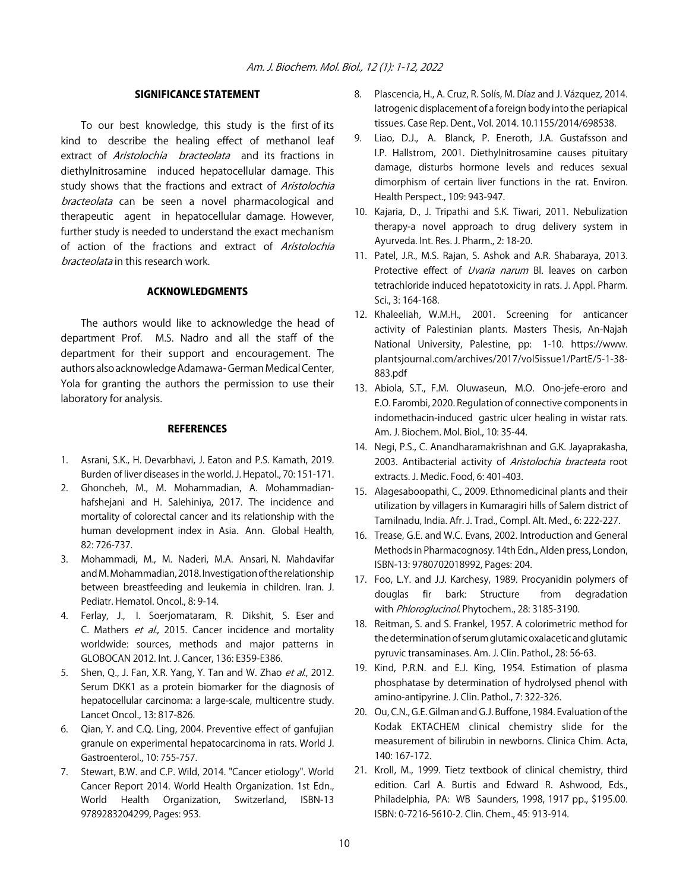#### SIGNIFICANCE STATEMENT

To our best knowledge, this study is the first of its kind to describe the healing effect of methanol leaf extract of Aristolochia bracteolata and its fractions in diethylnitrosamine induced hepatocellular damage. This study shows that the fractions and extract of Aristolochia bracteolata can be seen a novel pharmacological and therapeutic agent in hepatocellular damage. However, further study is needed to understand the exact mechanism of action of the fractions and extract of Aristolochia bracteolata in this research work.

#### ACKNOWLEDGMENTS

The authors would like to acknowledge the head of department Prof. M.S. Nadro and all the staff of the department for their support and encouragement. The authors also acknowledge Adamawa- German Medical Center, Yola for granting the authors the permission to use their laboratory for analysis.

#### **REFERENCES**

- 1. Asrani, S.K., H. Devarbhavi, J. Eaton and P.S. Kamath, 2019. Burden of liver diseases in the world. J. Hepatol., 70: 151-171.
- 2. Ghoncheh, M., M. Mohammadian, A. Mohammadianhafshejani and H. Salehiniya, 2017. The incidence and mortality of colorectal cancer and its relationship with the human development index in Asia. Ann. Global Health, 82: 726-737.
- 3. Mohammadi, M., M. Naderi, M.A. Ansari, N. Mahdavifar and M. Mohammadian, 2018. Investigation of the relationship between breastfeeding and leukemia in children. Iran. J. Pediatr. Hematol. Oncol., 8: 9-14.
- 4. Ferlay, J., I. Soerjomataram, R. Dikshit, S. Eser and C. Mathers et al., 2015. Cancer incidence and mortality worldwide: sources, methods and major patterns in GLOBOCAN 2012. Int. J. Cancer, 136: E359-E386.
- 5. Shen, Q., J. Fan, X.R. Yang, Y. Tan and W. Zhao et al., 2012. Serum DKK1 as a protein biomarker for the diagnosis of hepatocellular carcinoma: a large-scale, multicentre study. Lancet Oncol., 13: 817-826.
- 6. Qian, Y. and C.Q. Ling, 2004. Preventive effect of ganfujian granule on experimental hepatocarcinoma in rats. World J. Gastroenterol., 10: 755-757.
- 7. Stewart, B.W. and C.P. Wild, 2014. "Cancer etiology". World Cancer Report 2014. World Health Organization. 1st Edn., World Health Organization, Switzerland, ISBN-13 9789283204299, Pages: 953.
- 8. Plascencia, H., A. Cruz, R. Solís, M. Díaz and J. Vázquez, 2014. Iatrogenic displacement of a foreign body into the periapical tissues. Case Rep. Dent., Vol. 2014. 10.1155/2014/698538.
- 9. Liao, D.J., A. Blanck, P. Eneroth, J.A. Gustafsson and I.P. Hallstrom, 2001. Diethylnitrosamine causes pituitary damage, disturbs hormone levels and reduces sexual dimorphism of certain liver functions in the rat. Environ. Health Perspect., 109: 943-947.
- 10. Kajaria, D., J. Tripathi and S.K. Tiwari, 2011. Nebulization therapy-a novel approach to drug delivery system in Ayurveda. Int. Res. J. Pharm., 2: 18-20.
- 11. Patel, J.R., M.S. Rajan, S. Ashok and A.R. Shabaraya, 2013. Protective effect of *Uvaria narum* Bl. leaves on carbon tetrachloride induced hepatotoxicity in rats. J. Appl. Pharm. Sci., 3: 164-168.
- 12. Khaleeliah, W.M.H., 2001. Screening for anticancer activity of Palestinian plants. Masters Thesis, An-Najah National University, Palestine, pp: 1-10. https://www. plantsjournal.com/archives/2017/vol5issue1/PartE/5-1-38- 883.pdf
- 13. Abiola, S.T., F.M. Oluwaseun, M.O. Ono-jefe-eroro and E.O. Farombi, 2020. Regulation of connective components in indomethacin-induced gastric ulcer healing in wistar rats. Am. J. Biochem. Mol. Biol., 10: 35-44.
- 14. Negi, P.S., C. Anandharamakrishnan and G.K. Jayaprakasha, 2003. Antibacterial activity of Aristolochia bracteata root extracts. J. Medic. Food, 6: 401-403.
- 15. Alagesaboopathi, C., 2009. Ethnomedicinal plants and their utilization by villagers in Kumaragiri hills of Salem district of Tamilnadu, India. Afr. J. Trad., Compl. Alt. Med., 6: 222-227.
- 16. Trease, G.E. and W.C. Evans, 2002. Introduction and General Methods in Pharmacognosy. 14th Edn., Alden press, London, ISBN-13: 9780702018992, Pages: 204.
- 17. Foo, L.Y. and J.J. Karchesy, 1989. Procyanidin polymers of douglas fir bark: Structure from degradation with Phloroglucinol. Phytochem., 28: 3185-3190.
- 18. Reitman, S. and S. Frankel, 1957. A colorimetric method for the determination of serum glutamic oxalacetic and glutamic pyruvic transaminases. Am. J. Clin. Pathol., 28: 56-63.
- 19. Kind, P.R.N. and E.J. King, 1954. Estimation of plasma phosphatase by determination of hydrolysed phenol with amino-antipyrine. J. Clin. Pathol., 7: 322-326.
- 20. Ou, C.N., G.E. Gilman and G.J. Buffone, 1984. Evaluation of the Kodak EKTACHEM clinical chemistry slide for the measurement of bilirubin in newborns. Clinica Chim. Acta, 140: 167-172.
- 21. Kroll, M., 1999. Tietz textbook of clinical chemistry, third edition. Carl A. Burtis and Edward R. Ashwood, Eds., Philadelphia, PA: WB Saunders, 1998, 1917 pp., \$195.00. ISBN: 0-7216-5610-2. Clin. Chem., 45: 913-914.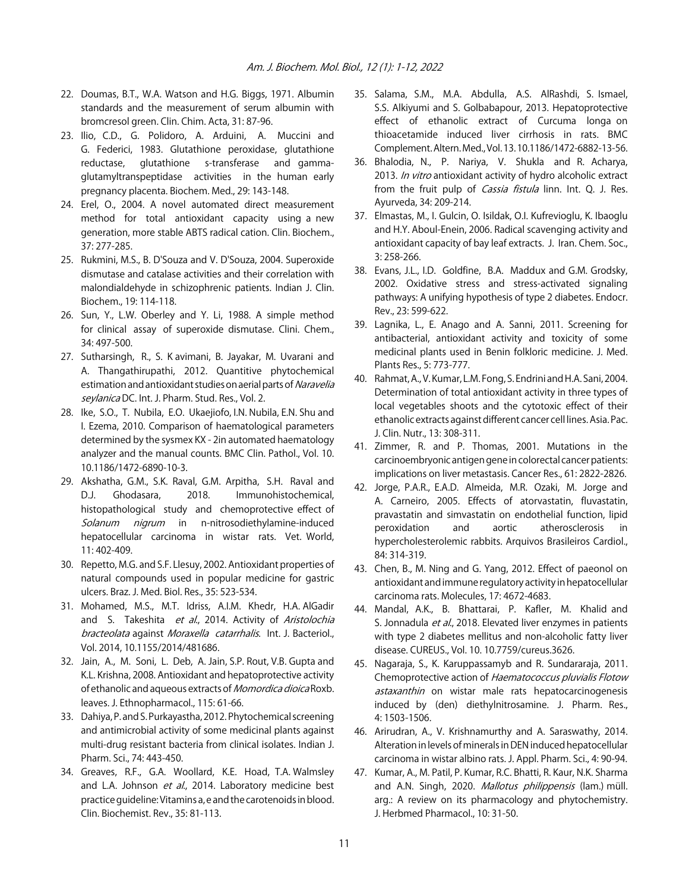- 22. Doumas, B.T., W.A. Watson and H.G. Biggs, 1971. Albumin standards and the measurement of serum albumin with bromcresol green. Clin. Chim. Acta, 31: 87-96.
- 23. Ilio, C.D., G. Polidoro, A. Arduini, A. Muccini and G. Federici, 1983. Glutathione peroxidase, glutathione reductase, glutathione s-transferase and gammaglutamyltranspeptidase activities in the human early pregnancy placenta. Biochem. Med., 29: 143-148.
- 24. Erel, O., 2004. A novel automated direct measurement method for total antioxidant capacity using a new generation, more stable ABTS radical cation. Clin. Biochem., 37: 277-285.
- 25. Rukmini, M.S., B. D'Souza and V. D'Souza, 2004. Superoxide dismutase and catalase activities and their correlation with malondialdehyde in schizophrenic patients. Indian J. Clin. Biochem., 19: 114-118.
- 26. Sun, Y., L.W. Oberley and Y. Li, 1988. A simple method for clinical assay of superoxide dismutase. Clini. Chem., 34: 497-500.
- 27. Sutharsingh, R., S. K avimani, B. Jayakar, M. Uvarani and A. Thangathirupathi, 2012. Quantitive phytochemical estimation and antioxidant studies on aerial parts of Naravelia seylanica DC. Int. J. Pharm. Stud. Res., Vol. 2.
- 28. Ike, S.O., T. Nubila, E.O. Ukaejiofo, I.N. Nubila, E.N. Shu and I. Ezema, 2010. Comparison of haematological parameters determined by the sysmex KX - 2in automated haematology analyzer and the manual counts. BMC Clin. Pathol., Vol. 10. 10.1186/1472-6890-10-3.
- 29. Akshatha, G.M., S.K. Raval, G.M. Arpitha, S.H. Raval and D.J. Ghodasara, 2018. Immunohistochemical, histopathological study and chemoprotective effect of Solanum nigrum in n-nitrosodiethylamine-induced hepatocellular carcinoma in wistar rats. Vet. World, 11: 402-409.
- 30. Repetto, M.G. and S.F. Llesuy, 2002. Antioxidant properties of natural compounds used in popular medicine for gastric ulcers. Braz. J. Med. Biol. Res., 35: 523-534.
- 31. Mohamed, M.S., M.T. Idriss, A.I.M. Khedr, H.A. AlGadir and S. Takeshita et al., 2014. Activity of Aristolochia bracteolata against Moraxella catarrhalis. Int. J. Bacteriol., Vol. 2014, 10.1155/2014/481686.
- 32. Jain, A., M. Soni, L. Deb, A. Jain, S.P. Rout, V.B. Gupta and K.L. Krishna, 2008. Antioxidant and hepatoprotective activity of ethanolic and aqueous extracts of Momordica dioica Roxb. leaves. J. Ethnopharmacol., 115: 61-66.
- 33. Dahiya, P. and S. Purkayastha, 2012. Phytochemical screening and antimicrobial activity of some medicinal plants against multi-drug resistant bacteria from clinical isolates. Indian J. Pharm. Sci., 74: 443-450.
- 34. Greaves, R.F., G.A. Woollard, K.E. Hoad, T.A. Walmsley and L.A. Johnson et al., 2014. Laboratory medicine best practice guideline: Vitamins a, e and the carotenoids in blood. Clin. Biochemist. Rev., 35: 81-113.
- 35. Salama, S.M., M.A. Abdulla, A.S. AlRashdi, S. Ismael, S.S. Alkiyumi and S. Golbabapour, 2013. Hepatoprotective effect of ethanolic extract of Curcuma longa on thioacetamide induced liver cirrhosis in rats. BMC Complement. Altern. Med., Vol. 13. 10.1186/1472-6882-13-56.
- 36. Bhalodia, N., P. Nariya, V. Shukla and R. Acharya, 2013. In vitro antioxidant activity of hydro alcoholic extract from the fruit pulp of *Cassia fistula* linn. Int. Q. J. Res. Ayurveda, 34: 209-214.
- 37. Elmastas, M., I. Gulcin, O. Isildak, O.I. Kufrevioglu, K. Ibaoglu and H.Y. Aboul-Enein, 2006. Radical scavenging activity and antioxidant capacity of bay leaf extracts. J. Iran. Chem. Soc., 3: 258-266.
- 38. Evans, J.L., I.D. Goldfine, B.A. Maddux and G.M. Grodsky, 2002. Oxidative stress and stress-activated signaling pathways: A unifying hypothesis of type 2 diabetes. Endocr. Rev., 23: 599-622.
- 39. Lagnika, L., E. Anago and A. Sanni, 2011. Screening for antibacterial, antioxidant activity and toxicity of some medicinal plants used in Benin folkloric medicine. J. Med. Plants Res., 5: 773-777.
- 40. Rahmat, A., V. Kumar, L.M. Fong, S. Endrini and H.A. Sani, 2004. Determination of total antioxidant activity in three types of local vegetables shoots and the cytotoxic effect of their ethanolic extracts against different cancer cell lines. Asia. Pac. J. Clin. Nutr., 13: 308-311.
- 41. Zimmer, R. and P. Thomas, 2001. Mutations in the carcinoembryonic antigen gene in colorectal cancer patients: implications on liver metastasis. Cancer Res., 61: 2822-2826.
- 42. Jorge, P.A.R., E.A.D. Almeida, M.R. Ozaki, M. Jorge and A. Carneiro, 2005. Effects of atorvastatin, fluvastatin, pravastatin and simvastatin on endothelial function, lipid peroxidation and aortic atherosclerosis in hypercholesterolemic rabbits. Arquivos Brasileiros Cardiol., 84: 314-319.
- 43. Chen, B., M. Ning and G. Yang, 2012. Effect of paeonol on antioxidant and immune regulatory activity in hepatocellular carcinoma rats. Molecules, 17: 4672-4683.
- 44. Mandal, A.K., B. Bhattarai, P. Kafler, M. Khalid and S. Jonnadula et al., 2018. Elevated liver enzymes in patients with type 2 diabetes mellitus and non-alcoholic fatty liver disease. CUREUS., Vol. 10. 10.7759/cureus.3626.
- 45. Nagaraja, S., K. Karuppassamyb and R. Sundararaja, 2011. Chemoprotective action of Haematococcus pluvialis Flotow astaxanthin on wistar male rats hepatocarcinogenesis induced by (den) diethylnitrosamine. J. Pharm. Res., 4: 1503-1506.
- 46. Arirudran, A., V. Krishnamurthy and A. Saraswathy, 2014. Alteration in levels of minerals in DEN induced hepatocellular carcinoma in wistar albino rats. J. Appl. Pharm. Sci., 4: 90-94.
- 47. Kumar, A., M. Patil, P. Kumar, R.C. Bhatti, R. Kaur, N.K. Sharma and A.N. Singh, 2020. Mallotus philippensis (lam.) müll. arg.: A review on its pharmacology and phytochemistry. J. Herbmed Pharmacol., 10: 31-50.